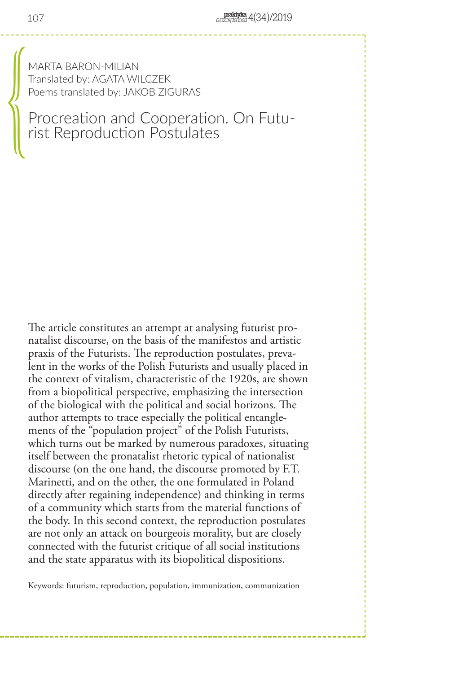MARTA BARON-MILIAN Translated by: AGATA WILCZEK Poems translated by: JAKOB ZIGURAS

# Procreation and Cooperation. On Futu- rist Reproduction Postulates

The article constitutes an attempt at analysing futurist pronatalist discourse, on the basis of the manifestos and artistic praxis of the Futurists. The reproduction postulates, prevalent in the works of the Polish Futurists and usually placed in the context of vitalism, characteristic of the 1920s, are shown from a biopolitical perspective, emphasizing the intersection of the biological with the political and social horizons. The author attempts to trace especially the political entanglements of the "population project" of the Polish Futurists, which turns out be marked by numerous paradoxes, situating itself between the pronatalist rhetoric typical of nationalist discourse (on the one hand, the discourse promoted by F.T. Marinetti, and on the other, the one formulated in Poland directly after regaining independence) and thinking in terms of a community which starts from the material functions of the body. In this second context, the reproduction postulates are not only an attack on bourgeois morality, but are closely connected with the futurist critique of all social institutions and the state apparatus with its biopolitical dispositions.

Keywords: futurism, reproduction, population, immunization, communization

 $\begin{bmatrix} \frac{1}{2} & \frac{1}{2} & \frac{1}{2} & \frac{1}{2} & \frac{1}{2} & \frac{1}{2} & \frac{1}{2} & \frac{1}{2} & \frac{1}{2} & \frac{1}{2} & \frac{1}{2} & \frac{1}{2} & \frac{1}{2} & \frac{1}{2} & \frac{1}{2} & \frac{1}{2} & \frac{1}{2} & \frac{1}{2} & \frac{1}{2} & \frac{1}{2} & \frac{1}{2} & \frac{1}{2} & \frac{1}{2} & \frac{1}{2} & \frac{1}{2} & \frac{1}{2} & \frac{1}{2$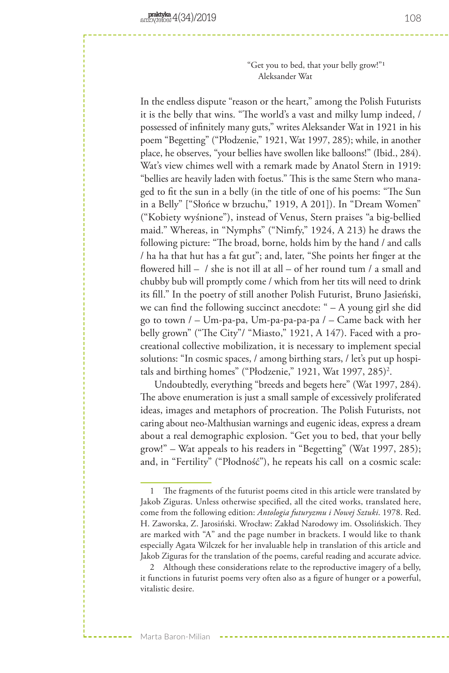"Get you to bed, that your belly grow!"1 Aleksander Wat

In the endless dispute "reason or the heart," among the Polish Futurists it is the belly that wins. "The world's a vast and milky lump indeed, / possessed of infinitely many guts," writes Aleksander Wat in 1921 in his poem "Begetting" ("Płodzenie," 1921, Wat 1997, 285); while, in another place, he observes, "your bellies have swollen like balloons!" (Ibid., 284). Wat's view chimes well with a remark made by Anatol Stern in 1919: "bellies are heavily laden with foetus." This is the same Stern who managed to fit the sun in a belly (in the title of one of his poems: "The Sun in a Belly" ["Słońce w brzuchu," 1919, A 201]). In "Dream Women" ("Kobiety wyśnione"), instead of Venus, Stern praises "a big-bellied maid." Whereas, in "Nymphs" ("Nimfy," 1924, A 213) he draws the following picture: "The broad, borne, holds him by the hand / and calls / ha ha that hut has a fat gut"; and, later, "She points her finger at the flowered hill – / she is not ill at all – of her round tum / a small and chubby bub will promptly come / which from her tits will need to drink its fill." In the poetry of still another Polish Futurist, Bruno Jasieński, we can find the following succinct anecdote: " – A young girl she did go to town  $/$  – Um-pa-pa, Um-pa-pa-pa-pa  $/$  – Came back with her belly grown" ("The City"/ "Miasto," 1921, A 147). Faced with a procreational collective mobilization, it is necessary to implement special solutions: "In cosmic spaces, / among birthing stars, / let's put up hospitals and birthing homes" ("Płodzenie," 1921, Wat 1997, 285)<sup>2</sup>.

Undoubtedly, everything "breeds and begets here" (Wat 1997, 284). The above enumeration is just a small sample of excessively proliferated ideas, images and metaphors of procreation. The Polish Futurists, not caring about neo-Malthusian warnings and eugenic ideas, express a dream about a real demographic explosion. "Get you to bed, that your belly grow!" – Wat appeals to his readers in "Begetting" (Wat 1997, 285); and, in "Fertility" ("Płodność"), he repeats his call on a cosmic scale:

<sup>1</sup> The fragments of the futurist poems cited in this article were translated by Jakob Ziguras. Unless otherwise specified, all the cited works, translated here, come from the following edition: *Antologia futuryzmu i Nowej Sztuki*. 1978. Red. H. Zaworska, Z. Jarosiński. Wrocław: Zakład Narodowy im. Ossolińskich. They are marked with "A" and the page number in brackets. I would like to thank especially Agata Wilczek for her invaluable help in translation of this article and Jakob Ziguras for the translation of the poems, careful reading and accurate advice.

<sup>2</sup> Although these considerations relate to the reproductive imagery of a belly, it functions in futurist poems very often also as a figure of hunger or a powerful, vitalistic desire.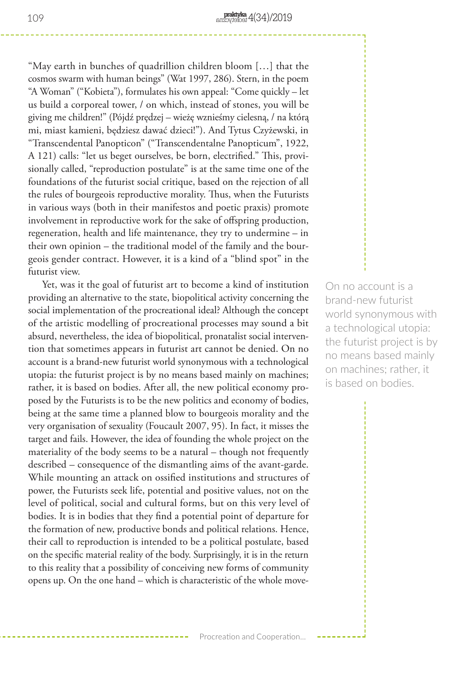"May earth in bunches of quadrillion children bloom […] that the cosmos swarm with human beings" (Wat 1997, 286). Stern, in the poem "A Woman" ("Kobieta"), formulates his own appeal: "Come quickly – let us build a corporeal tower, / on which, instead of stones, you will be giving me children!" (Pójdź prędzej – wieżę wznieśmy cielesną, / na którą mi, miast kamieni, będziesz dawać dzieci!"). And Tytus Czyżewski, in "Transcendental Panopticon" ("Transcendentalne Panopticum", 1922, A 121) calls: "let us beget ourselves, be born, electrified." This, provisionally called, "reproduction postulate" is at the same time one of the foundations of the futurist social critique, based on the rejection of all the rules of bourgeois reproductive morality. Thus, when the Futurists in various ways (both in their manifestos and poetic praxis) promote involvement in reproductive work for the sake of offspring production, regeneration, health and life maintenance, they try to undermine – in their own opinion – the traditional model of the family and the bourgeois gender contract. However, it is a kind of a "blind spot" in the futurist view.

Yet, was it the goal of futurist art to become a kind of institution providing an alternative to the state, biopolitical activity concerning the social implementation of the procreational ideal? Although the concept of the artistic modelling of procreational processes may sound a bit absurd, nevertheless, the idea of biopolitical, pronatalist social intervention that sometimes appears in futurist art cannot be denied. On no account is a brand-new futurist world synonymous with a technological utopia: the futurist project is by no means based mainly on machines; rather, it is based on bodies. After all, the new political economy proposed by the Futurists is to be the new politics and economy of bodies, being at the same time a planned blow to bourgeois morality and the very organisation of sexuality (Foucault 2007, 95). In fact, it misses the target and fails. However, the idea of founding the whole project on the materiality of the body seems to be a natural – though not frequently described – consequence of the dismantling aims of the avant-garde. While mounting an attack on ossified institutions and structures of power, the Futurists seek life, potential and positive values, not on the level of political, social and cultural forms, but on this very level of bodies. It is in bodies that they find a potential point of departure for the formation of new, productive bonds and political relations. Hence, their call to reproduction is intended to be a political postulate, based on the specific material reality of the body. Surprisingly, it is in the return to this reality that a possibility of conceiving new forms of community opens up. On the one hand – which is characteristic of the whole move-

On no account is a brand-new futurist world synonymous with a technological utopia: the futurist project is by no means based mainly on machines; rather, it is based on bodies.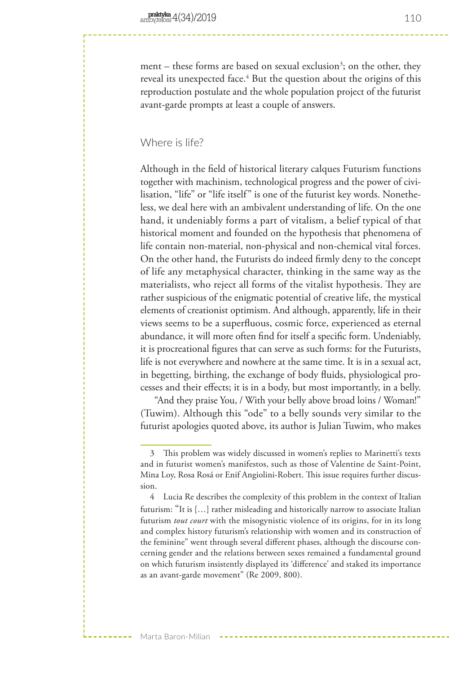ment – these forms are based on sexual exclusion<sup>3</sup>; on the other, they reveal its unexpected face.<sup>4</sup> But the question about the origins of this reproduction postulate and the whole population project of the futurist avant-garde prompts at least a couple of answers.

## Where is life?

Although in the field of historical literary calques Futurism functions together with machinism, technological progress and the power of civilisation, "life" or "life itself" is one of the futurist key words. Nonetheless, we deal here with an ambivalent understanding of life. On the one hand, it undeniably forms a part of vitalism, a belief typical of that historical moment and founded on the hypothesis that phenomena of life contain non-material, non-physical and non-chemical vital forces. On the other hand, the Futurists do indeed firmly deny to the concept of life any metaphysical character, thinking in the same way as the materialists, who reject all forms of the vitalist hypothesis. They are rather suspicious of the enigmatic potential of creative life, the mystical elements of creationist optimism. And although, apparently, life in their views seems to be a superfluous, cosmic force, experienced as eternal abundance, it will more often find for itself a specific form. Undeniably, it is procreational figures that can serve as such forms: for the Futurists, life is not everywhere and nowhere at the same time. It is in a sexual act, in begetting, birthing, the exchange of body fluids, physiological processes and their effects; it is in a body, but most importantly, in a belly.

"And they praise You, / With your belly above broad loins / Woman!" (Tuwim). Although this "ode" to a belly sounds very similar to the futurist apologies quoted above, its author is Julian Tuwim, who makes

<sup>3</sup> This problem was widely discussed in women's replies to Marinetti's texts and in futurist women's manifestos, such as those of Valentine de Saint-Point, Mina Loy, Rosa Rosá or Enif Angiolini-Robert. This issue requires further discussion.

<sup>4</sup> Lucia Re describes the complexity of this problem in the context of Italian futurism: "It is […] rather misleading and historically narrow to associate Italian futurism *tout court* with the misogynistic violence of its origins, for in its long and complex history futurism's relationship with women and its construction of the feminine" went through several different phases, although the discourse concerning gender and the relations between sexes remained a fundamental ground on which futurism insistently displayed its 'difference' and staked its importance as an avant-garde movement" (Re 2009, 800).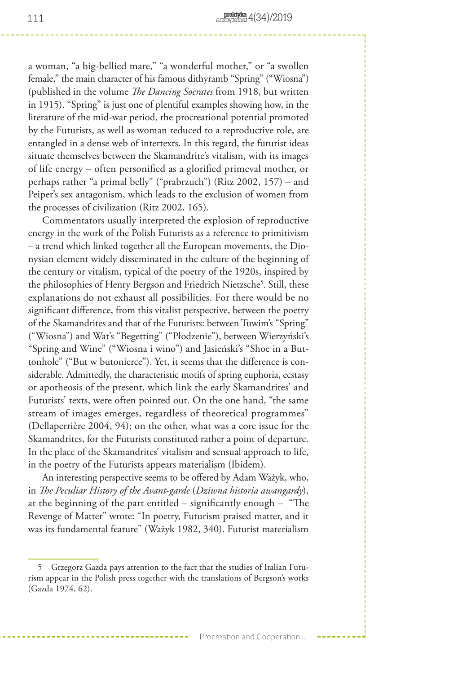a woman, "a big-bellied mare," "a wonderful mother," or "a swollen female," the main character of his famous dithyramb "Spring" ("Wiosna") (published in the volume *The Dancing Socrates* from 1918, but written in 1915). "Spring" is just one of plentiful examples showing how, in the literature of the mid-war period, the procreational potential promoted by the Futurists, as well as woman reduced to a reproductive role, are entangled in a dense web of intertexts. In this regard, the futurist ideas situate themselves between the Skamandrite's vitalism, with its images of life energy – often personified as a glorified primeval mother, or perhaps rather "a primal belly" ("prabrzuch") (Ritz 2002, 157) – and Peiper's sex antagonism, which leads to the exclusion of women from the processes of civilization (Ritz 2002, 165).

Commentators usually interpreted the explosion of reproductive energy in the work of the Polish Futurists as a reference to primitivism – a trend which linked together all the European movements, the Dionysian element widely disseminated in the culture of the beginning of the century or vitalism, typical of the poetry of the 1920s, inspired by the philosophies of Henry Bergson and Friedrich Nietzsche5 . Still, these explanations do not exhaust all possibilities. For there would be no significant difference, from this vitalist perspective, between the poetry of the Skamandrites and that of the Futurists: between Tuwim's "Spring" ("Wiosna") and Wat's "Begetting" ("Płodzenie"), between Wierzyński's "Spring and Wine" ("Wiosna i wino") and Jasieński's "Shoe in a Buttonhole" ("But w butonierce"). Yet, it seems that the difference is considerable. Admittedly, the characteristic motifs of spring euphoria, ecstasy or apotheosis of the present, which link the early Skamandrites' and Futurists' texts, were often pointed out. On the one hand, "the same stream of images emerges, regardless of theoretical programmes" (Dellaperrière 2004, 94); on the other, what was a core issue for the Skamandrites, for the Futurists constituted rather a point of departure. In the place of the Skamandrites' vitalism and sensual approach to life, in the poetry of the Futurists appears materialism (Ibidem).

An interesting perspective seems to be offered by Adam Ważyk, who, in *The Peculiar History of the Avant-garde* (*Dziwna historia awangardy*), at the beginning of the part entitled – significantly enough – "The Revenge of Matter" wrote: "In poetry, Futurism praised matter, and it was its fundamental feature" (Ważyk 1982, 340). Futurist materialism

<sup>5</sup> Grzegorz Gazda pays attention to the fact that the studies of Italian Futurism appear in the Polish press together with the translations of Bergson's works (Gazda 1974, 62).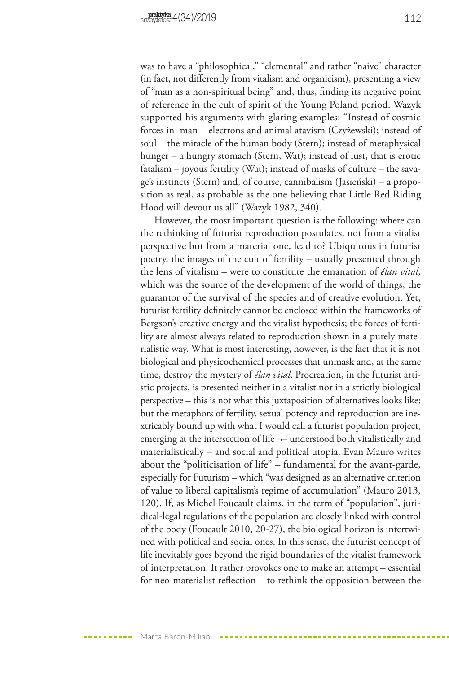was to have a "philosophical," "elemental" and rather "naive" character (in fact, not differently from vitalism and organicism), presenting a view of "man as a non-spiritual being" and, thus, finding its negative point of reference in the cult of spirit of the Young Poland period. Ważyk supported his arguments with glaring examples: "Instead of cosmic forces in man – electrons and animal atavism (Czyżewski); instead of soul – the miracle of the human body (Stern); instead of metaphysical hunger – a hungry stomach (Stern, Wat); instead of lust, that is erotic fatalism – joyous fertility (Wat); instead of masks of culture – the savage's instincts (Stern) and, of course, cannibalism (Jasieński) – a proposition as real, as probable as the one believing that Little Red Riding Hood will devour us all" (Ważyk 1982, 340).

However, the most important question is the following: where can the rethinking of futurist reproduction postulates, not from a vitalist perspective but from a material one, lead to? Ubiquitous in futurist poetry, the images of the cult of fertility – usually presented through the lens of vitalism – were to constitute the emanation of *élan vital*, which was the source of the development of the world of things, the guarantor of the survival of the species and of creative evolution. Yet, futurist fertility definitely cannot be enclosed within the frameworks of Bergson's creative energy and the vitalist hypothesis; the forces of fertility are almost always related to reproduction shown in a purely materialistic way. What is most interesting, however, is the fact that it is not biological and physicochemical processes that unmask and, at the same time, destroy the mystery of *élan vital*. Procreation, in the futurist artistic projects, is presented neither in a vitalist nor in a strictly biological perspective – this is not what this juxtaposition of alternatives looks like; but the metaphors of fertility, sexual potency and reproduction are inextricably bound up with what I would call a futurist population project, emerging at the intersection of life  $\neg$  understood both vitalistically and materialistically – and social and political utopia. Evan Mauro writes about the "politicisation of life" – fundamental for the avant-garde, especially for Futurism – which "was designed as an alternative criterion of value to liberal capitalism's regime of accumulation" (Mauro 2013, 120). If, as Michel Foucault claims, in the term of "population", juridical-legal regulations of the population are closely linked with control of the body (Foucault 2010, 20-27), the biological horizon is intertwined with political and social ones. In this sense, the futurist concept of life inevitably goes beyond the rigid boundaries of the vitalist framework of interpretation. It rather provokes one to make an attempt – essential for neo-materialist reflection – to rethink the opposition between the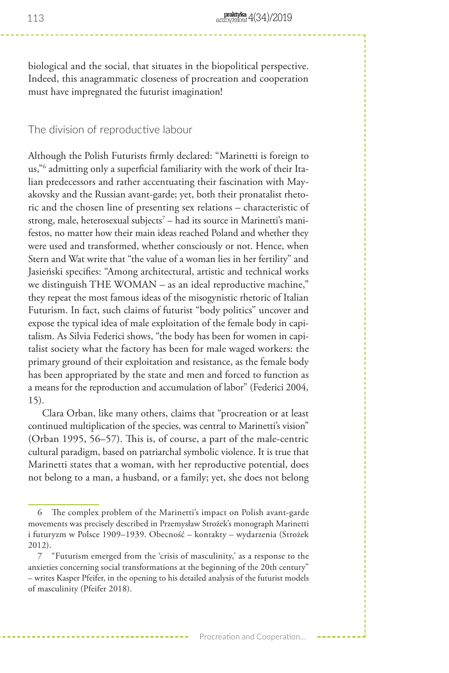biological and the social, that situates in the biopolitical perspective. Indeed, this anagrammatic closeness of procreation and cooperation must have impregnated the futurist imagination!

#### The division of reproductive labour

Although the Polish Futurists firmly declared: "Marinetti is foreign to us,"6 admitting only a superficial familiarity with the work of their Italian predecessors and rather accentuating their fascination with Mayakovsky and the Russian avant-garde; yet, both their pronatalist rhetoric and the chosen line of presenting sex relations – characteristic of strong, male, heterosexual subjects<sup>7</sup> – had its source in Marinetti's manifestos, no matter how their main ideas reached Poland and whether they were used and transformed, whether consciously or not. Hence, when Stern and Wat write that "the value of a woman lies in her fertility" and Jasieński specifies: "Among architectural, artistic and technical works we distinguish THE WOMAN – as an ideal reproductive machine," they repeat the most famous ideas of the misogynistic rhetoric of Italian Futurism. In fact, such claims of futurist "body politics" uncover and expose the typical idea of male exploitation of the female body in capitalism. As Silvia Federici shows, "the body has been for women in capitalist society what the factory has been for male waged workers: the primary ground of their exploitation and resistance, as the female body has been appropriated by the state and men and forced to function as a means for the reproduction and accumulation of labor" (Federici 2004, 15).

Clara Orban, like many others, claims that "procreation or at least continued multiplication of the species, was central to Marinetti's vision" (Orban 1995, 56–57). This is, of course, a part of the male-centric cultural paradigm, based on patriarchal symbolic violence. It is true that Marinetti states that a woman, with her reproductive potential, does not belong to a man, a husband, or a family; yet, she does not belong

 $\label{eq:2.1} \frac{1}{2} \left( \frac{1}{2} \right) \frac{1}{2} \left( \frac{1}{2} \right) \frac{1}{2} \left( \frac{1}{2} \right) \frac{1}{2} \left( \frac{1}{2} \right) \frac{1}{2} \left( \frac{1}{2} \right) \frac{1}{2} \left( \frac{1}{2} \right) \frac{1}{2} \left( \frac{1}{2} \right) \frac{1}{2} \left( \frac{1}{2} \right) \frac{1}{2} \left( \frac{1}{2} \right) \frac{1}{2} \left( \frac{1}{2} \right) \frac{1}{2} \left( \$ 

<sup>6</sup> The complex problem of the Marinetti's impact on Polish avant-garde movements was precisely described in Przemysław Strożek's monograph Marinetti i futuryzm w Polsce 1909–1939. Obecność – kontakty – wydarzenia (Strożek 2012).

<sup>7</sup> "Futurism emerged from the 'crisis of masculinity,' as a response to the anxieties concerning social transformations at the beginning of the 20th century" – writes Kasper Pfeifer, in the opening to his detailed analysis of the futurist models of masculinity (Pfeifer 2018).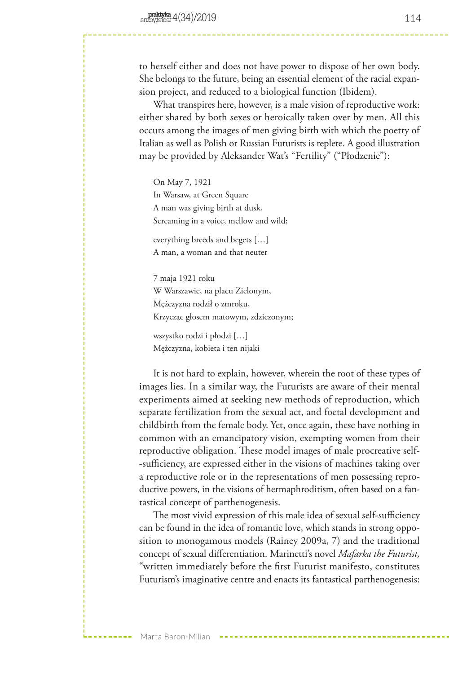to herself either and does not have power to dispose of her own body. She belongs to the future, being an essential element of the racial expansion project, and reduced to a biological function (Ibidem).

What transpires here, however, is a male vision of reproductive work: either shared by both sexes or heroically taken over by men. All this occurs among the images of men giving birth with which the poetry of Italian as well as Polish or Russian Futurists is replete. A good illustration may be provided by Aleksander Wat's "Fertility" ("Płodzenie"):

On May 7, 1921 In Warsaw, at Green Square A man was giving birth at dusk, Screaming in a voice, mellow and wild;

everything breeds and begets […] A man, a woman and that neuter

7 maja 1921 roku W Warszawie, na placu Zielonym, Mężczyzna rodził o zmroku, Krzycząc głosem matowym, zdziczonym;

wszystko rodzi i płodzi […] Mężczyzna, kobieta i ten nijaki

It is not hard to explain, however, wherein the root of these types of images lies. In a similar way, the Futurists are aware of their mental experiments aimed at seeking new methods of reproduction, which separate fertilization from the sexual act, and foetal development and childbirth from the female body. Yet, once again, these have nothing in common with an emancipatory vision, exempting women from their reproductive obligation. These model images of male procreative self- -sufficiency, are expressed either in the visions of machines taking over a reproductive role or in the representations of men possessing reproductive powers, in the visions of hermaphroditism, often based on a fantastical concept of parthenogenesis.

The most vivid expression of this male idea of sexual self-sufficiency can be found in the idea of romantic love, which stands in strong opposition to monogamous models (Rainey 2009a, 7) and the traditional concept of sexual differentiation. Marinetti's novel *Mafarka the Futurist,* "written immediately before the first Futurist manifesto, constitutes Futurism's imaginative centre and enacts its fantastical parthenogenesis: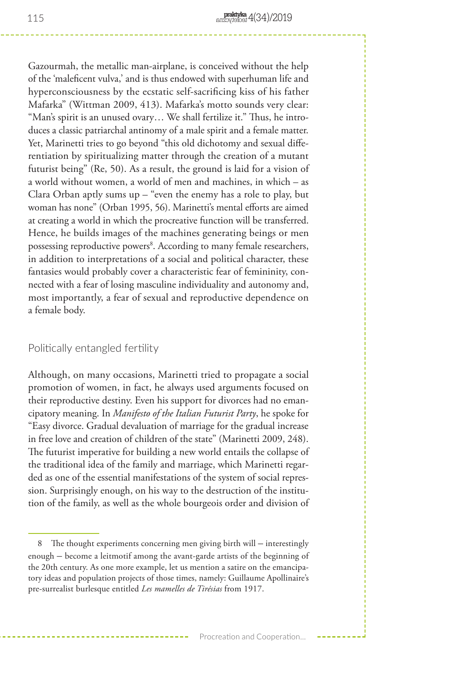Gazourmah, the metallic man-airplane, is conceived without the help of the 'maleficent vulva,' and is thus endowed with superhuman life and hyperconsciousness by the ecstatic self-sacrificing kiss of his father Mafarka" (Wittman 2009, 413). Mafarka's motto sounds very clear: "Man's spirit is an unused ovary… We shall fertilize it." Thus, he introduces a classic patriarchal antinomy of a male spirit and a female matter. Yet, Marinetti tries to go beyond "this old dichotomy and sexual differentiation by spiritualizing matter through the creation of a mutant futurist being" (Re, 50). As a result, the ground is laid for a vision of a world without women, a world of men and machines, in which – as Clara Orban aptly sums up – "even the enemy has a role to play, but woman has none" (Orban 1995, 56). Marinetti's mental efforts are aimed at creating a world in which the procreative function will be transferred. Hence, he builds images of the machines generating beings or men possessing reproductive powers<sup>8</sup>. According to many female researchers, in addition to interpretations of a social and political character, these fantasies would probably cover a characteristic fear of femininity, connected with a fear of losing masculine individuality and autonomy and, most importantly, a fear of sexual and reproductive dependence on a female body.

### Politically entangled fertility

Although, on many occasions, Marinetti tried to propagate a social promotion of women, in fact, he always used arguments focused on their reproductive destiny. Even his support for divorces had no emancipatory meaning. In *Manifesto of the Italian Futurist Party*, he spoke for "Easy divorce. Gradual devaluation of marriage for the gradual increase in free love and creation of children of the state" (Marinetti 2009, 248). The futurist imperative for building a new world entails the collapse of the traditional idea of the family and marriage, which Marinetti regarded as one of the essential manifestations of the system of social repression. Surprisingly enough, on his way to the destruction of the institution of the family, as well as the whole bourgeois order and division of

<sup>8</sup> The thought experiments concerning men giving birth will – interestingly enough – become a leitmotif among the avant-garde artists of the beginning of the 20th century. As one more example, let us mention a satire on the emancipatory ideas and population projects of those times, namely: Guillaume Apollinaire's pre-surrealist burlesque entitled *Les mamelles de Tirésias* from 1917.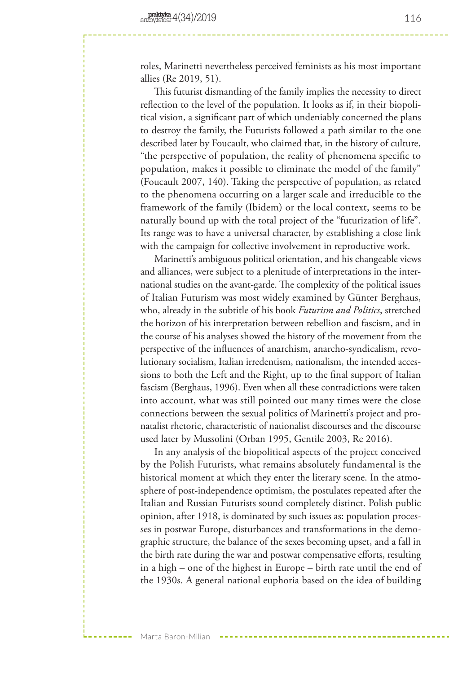roles, Marinetti nevertheless perceived feminists as his most important allies (Re 2019, 51).

This futurist dismantling of the family implies the necessity to direct reflection to the level of the population. It looks as if, in their biopolitical vision, a significant part of which undeniably concerned the plans to destroy the family, the Futurists followed a path similar to the one described later by Foucault, who claimed that, in the history of culture, "the perspective of population, the reality of phenomena specific to population, makes it possible to eliminate the model of the family" (Foucault 2007, 140). Taking the perspective of population, as related to the phenomena occurring on a larger scale and irreducible to the framework of the family (Ibidem) or the local context, seems to be naturally bound up with the total project of the "futurization of life". Its range was to have a universal character, by establishing a close link with the campaign for collective involvement in reproductive work.

Marinetti's ambiguous political orientation, and his changeable views and alliances, were subject to a plenitude of interpretations in the international studies on the avant-garde. The complexity of the political issues of Italian Futurism was most widely examined by Günter Berghaus, who, already in the subtitle of his book *Futurism and Politics*, stretched the horizon of his interpretation between rebellion and fascism, and in the course of his analyses showed the history of the movement from the perspective of the influences of anarchism, anarcho-syndicalism, revolutionary socialism, Italian irredentism, nationalism, the intended accessions to both the Left and the Right, up to the final support of Italian fascism (Berghaus, 1996). Even when all these contradictions were taken into account, what was still pointed out many times were the close connections between the sexual politics of Marinetti's project and pronatalist rhetoric, characteristic of nationalist discourses and the discourse used later by Mussolini (Orban 1995, Gentile 2003, Re 2016).

In any analysis of the biopolitical aspects of the project conceived by the Polish Futurists, what remains absolutely fundamental is the historical moment at which they enter the literary scene. In the atmosphere of post-independence optimism, the postulates repeated after the Italian and Russian Futurists sound completely distinct. Polish public opinion, after 1918, is dominated by such issues as: population processes in postwar Europe, disturbances and transformations in the demographic structure, the balance of the sexes becoming upset, and a fall in the birth rate during the war and postwar compensative efforts, resulting in a high – one of the highest in Europe – birth rate until the end of the 1930s. A general national euphoria based on the idea of building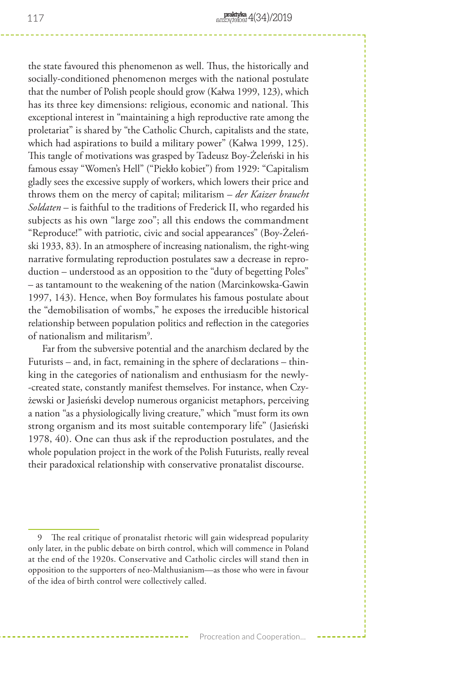the state favoured this phenomenon as well. Thus, the historically and socially-conditioned phenomenon merges with the national postulate that the number of Polish people should grow (Kałwa 1999, 123), which has its three key dimensions: religious, economic and national. This exceptional interest in "maintaining a high reproductive rate among the proletariat" is shared by "the Catholic Church, capitalists and the state, which had aspirations to build a military power" (Kałwa 1999, 125). This tangle of motivations was grasped by Tadeusz Boy-Żeleński in his famous essay "Women's Hell" ("Piekło kobiet") from 1929: "Capitalism gladly sees the excessive supply of workers, which lowers their price and throws them on the mercy of capital; militarism – *der Kaizer braucht Soldaten* – is faithful to the traditions of Frederick II, who regarded his subjects as his own "large zoo"; all this endows the commandment "Reproduce!" with patriotic, civic and social appearances" (Boy-Żeleński 1933, 83). In an atmosphere of increasing nationalism, the right-wing narrative formulating reproduction postulates saw a decrease in reproduction – understood as an opposition to the "duty of begetting Poles" – as tantamount to the weakening of the nation (Marcinkowska-Gawin 1997, 143). Hence, when Boy formulates his famous postulate about the "demobilisation of wombs," he exposes the irreducible historical relationship between population politics and reflection in the categories of nationalism and militarism9 .

Far from the subversive potential and the anarchism declared by the Futurists – and, in fact, remaining in the sphere of declarations – thinking in the categories of nationalism and enthusiasm for the newly- -created state, constantly manifest themselves. For instance, when Czyżewski or Jasieński develop numerous organicist metaphors, perceiving a nation "as a physiologically living creature," which "must form its own strong organism and its most suitable contemporary life" (Jasieński 1978, 40). One can thus ask if the reproduction postulates, and the whole population project in the work of the Polish Futurists, really reveal their paradoxical relationship with conservative pronatalist discourse.

<sup>9</sup> The real critique of pronatalist rhetoric will gain widespread popularity only later, in the public debate on birth control, which will commence in Poland at the end of the 1920s. Conservative and Catholic circles will stand then in opposition to the supporters of neo-Malthusianism—as those who were in favour of the idea of birth control were collectively called.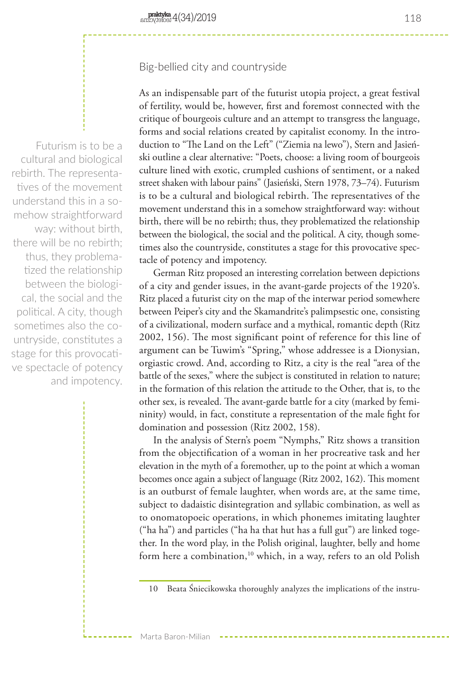## Big-bellied city and countryside

Futurism is to be a cultural and biological rebirth. The representatives of the movement understand this in a somehow straightforward way: without birth, there will be no rebirth; thus, they problematized the relationship between the biological, the social and the political. A city, though sometimes also the countryside, constitutes a stage for this provocative spectacle of potency and impotency. As an indispensable part of the futurist utopia project, a great festival of fertility, would be, however, first and foremost connected with the critique of bourgeois culture and an attempt to transgress the language, forms and social relations created by capitalist economy. In the introduction to "The Land on the Left" ("Ziemia na lewo"), Stern and Jasieński outline a clear alternative: "Poets, choose: a living room of bourgeois culture lined with exotic, crumpled cushions of sentiment, or a naked street shaken with labour pains" (Jasieński, Stern 1978, 73–74). Futurism is to be a cultural and biological rebirth. The representatives of the movement understand this in a somehow straightforward way: without birth, there will be no rebirth; thus, they problematized the relationship between the biological, the social and the political. A city, though sometimes also the countryside, constitutes a stage for this provocative spectacle of potency and impotency.

German Ritz proposed an interesting correlation between depictions of a city and gender issues, in the avant-garde projects of the 1920's. Ritz placed a futurist city on the map of the interwar period somewhere between Peiper's city and the Skamandrite's palimpsestic one, consisting of a civilizational, modern surface and a mythical, romantic depth (Ritz 2002, 156). The most significant point of reference for this line of argument can be Tuwim's "Spring," whose addressee is a Dionysian, orgiastic crowd. And, according to Ritz, a city is the real "area of the battle of the sexes," where the subject is constituted in relation to nature; in the formation of this relation the attitude to the Other, that is, to the other sex, is revealed. The avant-garde battle for a city (marked by femininity) would, in fact, constitute a representation of the male fight for domination and possession (Ritz 2002, 158).

In the analysis of Stern's poem "Nymphs," Ritz shows a transition from the objectification of a woman in her procreative task and her elevation in the myth of a foremother, up to the point at which a woman becomes once again a subject of language (Ritz 2002, 162). This moment is an outburst of female laughter, when words are, at the same time, subject to dadaistic disintegration and syllabic combination, as well as to onomatopoeic operations, in which phonemes imitating laughter ("ha ha") and particles ("ha ha that hut has a full gut") are linked together. In the word play, in the Polish original, laughter, belly and home form here a combination,<sup>10</sup> which, in a way, refers to an old Polish

<sup>10</sup> Beata Śniecikowska thoroughly analyzes the implications of the instru-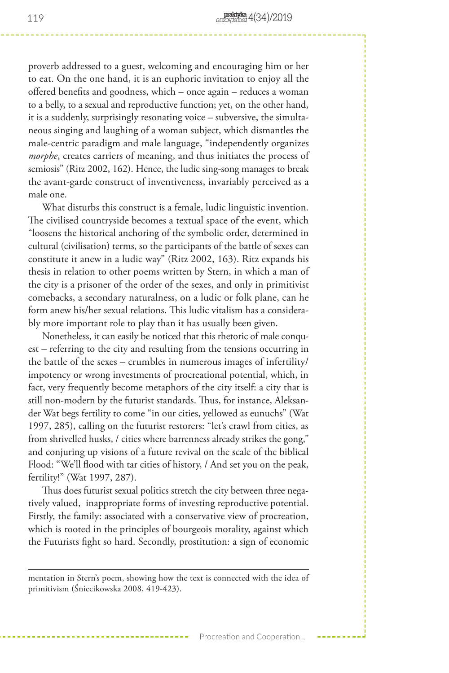proverb addressed to a guest, welcoming and encouraging him or her to eat. On the one hand, it is an euphoric invitation to enjoy all the offered benefits and goodness, which – once again – reduces a woman to a belly, to a sexual and reproductive function; yet, on the other hand, it is a suddenly, surprisingly resonating voice – subversive, the simultaneous singing and laughing of a woman subject, which dismantles the male-centric paradigm and male language, "independently organizes *morphe*, creates carriers of meaning, and thus initiates the process of semiosis" (Ritz 2002, 162). Hence, the ludic sing-song manages to break the avant-garde construct of inventiveness, invariably perceived as a male one.

What disturbs this construct is a female, ludic linguistic invention. The civilised countryside becomes a textual space of the event, which "loosens the historical anchoring of the symbolic order, determined in cultural (civilisation) terms, so the participants of the battle of sexes can constitute it anew in a ludic way" (Ritz 2002, 163). Ritz expands his thesis in relation to other poems written by Stern, in which a man of the city is a prisoner of the order of the sexes, and only in primitivist comebacks, a secondary naturalness, on a ludic or folk plane, can he form anew his/her sexual relations. This ludic vitalism has a considerably more important role to play than it has usually been given.

Nonetheless, it can easily be noticed that this rhetoric of male conquest – referring to the city and resulting from the tensions occurring in the battle of the sexes – crumbles in numerous images of infertility/ impotency or wrong investments of procreational potential, which, in fact, very frequently become metaphors of the city itself: a city that is still non-modern by the futurist standards. Thus, for instance, Aleksander Wat begs fertility to come "in our cities, yellowed as eunuchs" (Wat 1997, 285), calling on the futurist restorers: "let's crawl from cities, as from shrivelled husks, / cities where barrenness already strikes the gong," and conjuring up visions of a future revival on the scale of the biblical Flood: "We'll flood with tar cities of history, / And set you on the peak, fertility!" (Wat 1997, 287).

Thus does futurist sexual politics stretch the city between three negatively valued, inappropriate forms of investing reproductive potential. Firstly, the family: associated with a conservative view of procreation, which is rooted in the principles of bourgeois morality, against which the Futurists fight so hard. Secondly, prostitution: a sign of economic

mentation in Stern's poem, showing how the text is connected with the idea of primitivism (Śniecikowska 2008, 419-423).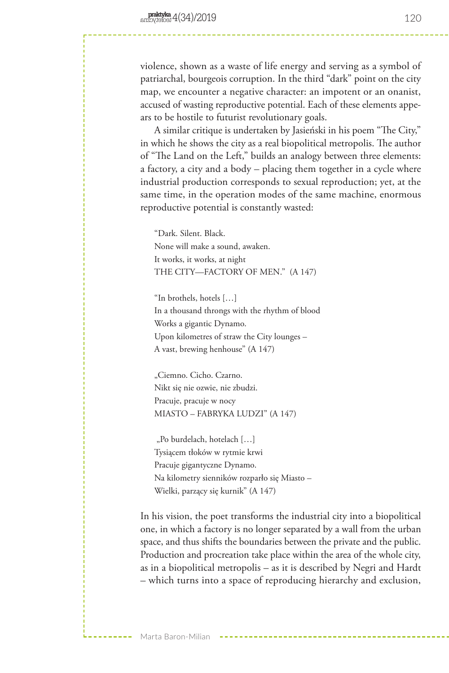violence, shown as a waste of life energy and serving as a symbol of patriarchal, bourgeois corruption. In the third "dark" point on the city map, we encounter a negative character: an impotent or an onanist, accused of wasting reproductive potential. Each of these elements appears to be hostile to futurist revolutionary goals.

A similar critique is undertaken by Jasieński in his poem "The City," in which he shows the city as a real biopolitical metropolis. The author of "The Land on the Left," builds an analogy between three elements: a factory, a city and a body – placing them together in a cycle where industrial production corresponds to sexual reproduction; yet, at the same time, in the operation modes of the same machine, enormous reproductive potential is constantly wasted:

"Dark. Silent. Black. None will make a sound, awaken. It works, it works, at night THE CITY—FACTORY OF MEN." (A 147)

"In brothels, hotels […] In a thousand throngs with the rhythm of blood Works a gigantic Dynamo. Upon kilometres of straw the City lounges – A vast, brewing henhouse" (A 147)

"Ciemno. Cicho. Czarno. Nikt się nie ozwie, nie zbudzi. Pracuje, pracuje w nocy MIASTO – FABRYKA LUDZI" (A 147)

"Po burdelach, hotelach [...] Tysiącem tłoków w rytmie krwi Pracuje gigantyczne Dynamo. Na kilometry sienników rozparło się Miasto – Wielki, parzący się kurnik" (A 147)

In his vision, the poet transforms the industrial city into a biopolitical one, in which a factory is no longer separated by a wall from the urban space, and thus shifts the boundaries between the private and the public. Production and procreation take place within the area of the whole city, as in a biopolitical metropolis – as it is described by Negri and Hardt – which turns into a space of reproducing hierarchy and exclusion,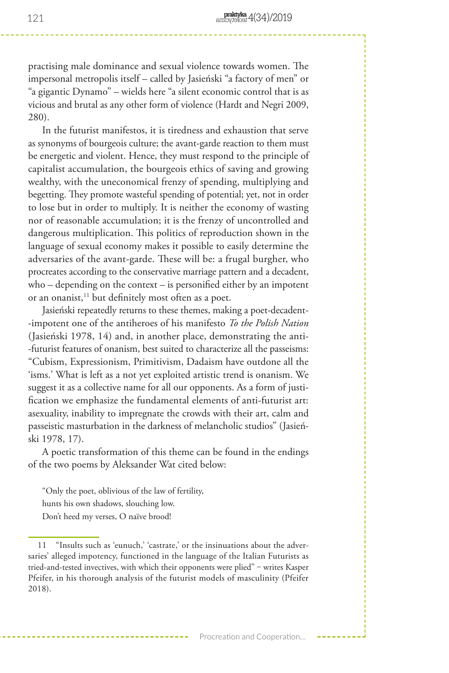practising male dominance and sexual violence towards women. The impersonal metropolis itself – called by Jasieński "a factory of men" or "a gigantic Dynamo" – wields here "a silent economic control that is as vicious and brutal as any other form of violence (Hardt and Negri 2009, 280).

In the futurist manifestos, it is tiredness and exhaustion that serve as synonyms of bourgeois culture; the avant-garde reaction to them must be energetic and violent. Hence, they must respond to the principle of capitalist accumulation, the bourgeois ethics of saving and growing wealthy, with the uneconomical frenzy of spending, multiplying and begetting. They promote wasteful spending of potential; yet, not in order to lose but in order to multiply. It is neither the economy of wasting nor of reasonable accumulation; it is the frenzy of uncontrolled and dangerous multiplication. This politics of reproduction shown in the language of sexual economy makes it possible to easily determine the adversaries of the avant-garde. These will be: a frugal burgher, who procreates according to the conservative marriage pattern and a decadent, who – depending on the context – is personified either by an impotent or an onanist,<sup>11</sup> but definitely most often as a poet.

Jasieński repeatedly returns to these themes, making a poet-decadent- -impotent one of the antiheroes of his manifesto *To the Polish Nation*  (Jasieński 1978, 14) and, in another place, demonstrating the anti- -futurist features of onanism, best suited to characterize all the passeisms: "Cubism, Expressionism, Primitivism, Dadaism have outdone all the 'isms.' What is left as a not yet exploited artistic trend is onanism. We suggest it as a collective name for all our opponents. As a form of justification we emphasize the fundamental elements of anti-futurist art: asexuality, inability to impregnate the crowds with their art, calm and passeistic masturbation in the darkness of melancholic studios" (Jasieński 1978, 17).

A poetic transformation of this theme can be found in the endings of the two poems by Aleksander Wat cited below:

"Only the poet, oblivious of the law of fertility,

hunts his own shadows, slouching low.

Don't heed my verses, O naïve brood!

<sup>11</sup> "Insults such as 'eunuch,' 'castrate,' or the insinuations about the adversaries' alleged impotency, functioned in the language of the Italian Futurists as tried-and-tested invectives, with which their opponents were plied" - writes Kasper Pfeifer, in his thorough analysis of the futurist models of masculinity (Pfeifer 2018).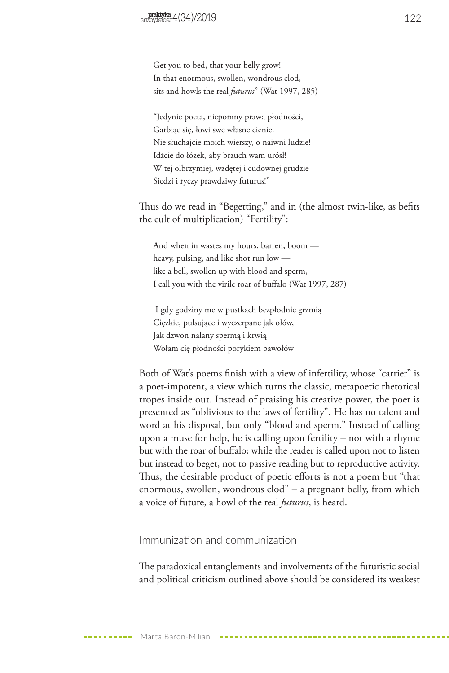Get you to bed, that your belly grow! In that enormous, swollen, wondrous clod, sits and howls the real *futurus*" (Wat 1997, 285)

"Jedynie poeta, niepomny prawa płodności, Garbiąc się, łowi swe własne cienie. Nie słuchajcie moich wierszy, o naiwni ludzie! Idźcie do łóżek, aby brzuch wam urósł! W tej olbrzymiej, wzdętej i cudownej grudzie Siedzi i ryczy prawdziwy futurus!"

Thus do we read in "Begetting," and in (the almost twin-like, as befits the cult of multiplication) "Fertility":

And when in wastes my hours, barren, boom heavy, pulsing, and like shot run low like a bell, swollen up with blood and sperm, I call you with the virile roar of buffalo (Wat 1997, 287)

 I gdy godziny me w pustkach bezpłodnie grzmią Ciężkie, pulsujące i wyczerpane jak ołów, Jak dzwon nalany spermą i krwią Wołam cię płodności porykiem bawołów

Both of Wat's poems finish with a view of infertility, whose "carrier" is a poet-impotent, a view which turns the classic, metapoetic rhetorical tropes inside out. Instead of praising his creative power, the poet is presented as "oblivious to the laws of fertility". He has no talent and word at his disposal, but only "blood and sperm." Instead of calling upon a muse for help, he is calling upon fertility – not with a rhyme but with the roar of buffalo; while the reader is called upon not to listen but instead to beget, not to passive reading but to reproductive activity. Thus, the desirable product of poetic efforts is not a poem but "that enormous, swollen, wondrous clod" – a pregnant belly, from which a voice of future, a howl of the real *futurus*, is heard.

## Immunization and communization

The paradoxical entanglements and involvements of the futuristic social and political criticism outlined above should be considered its weakest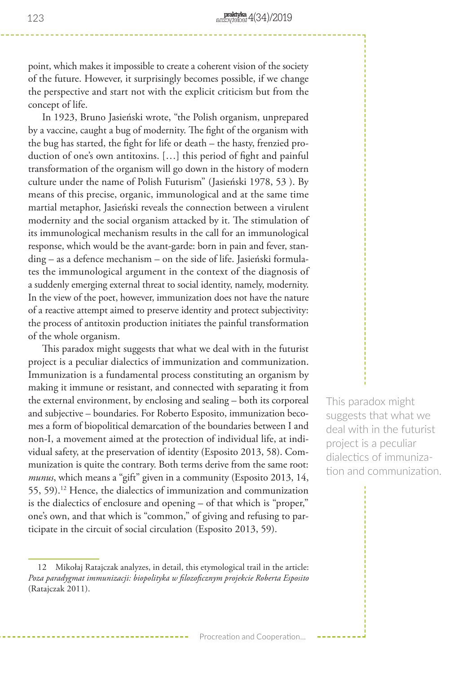point, which makes it impossible to create a coherent vision of the society of the future. However, it surprisingly becomes possible, if we change the perspective and start not with the explicit criticism but from the concept of life.

In 1923, Bruno Jasieński wrote, "the Polish organism, unprepared by a vaccine, caught a bug of modernity. The fight of the organism with the bug has started, the fight for life or death – the hasty, frenzied production of one's own antitoxins. […] this period of fight and painful transformation of the organism will go down in the history of modern culture under the name of Polish Futurism" (Jasieński 1978, 53 ). By means of this precise, organic, immunological and at the same time martial metaphor, Jasieński reveals the connection between a virulent modernity and the social organism attacked by it. The stimulation of its immunological mechanism results in the call for an immunological response, which would be the avant-garde: born in pain and fever, standing – as a defence mechanism – on the side of life. Jasieński formulates the immunological argument in the context of the diagnosis of a suddenly emerging external threat to social identity, namely, modernity. In the view of the poet, however, immunization does not have the nature of a reactive attempt aimed to preserve identity and protect subjectivity: the process of antitoxin production initiates the painful transformation of the whole organism.

This paradox might suggests that what we deal with in the futurist project is a peculiar dialectics of immunization and communization. Immunization is a fundamental process constituting an organism by making it immune or resistant, and connected with separating it from the external environment, by enclosing and sealing – both its corporeal and subjective – boundaries. For Roberto Esposito, immunization becomes a form of biopolitical demarcation of the boundaries between I and non-I, a movement aimed at the protection of individual life, at individual safety, at the preservation of identity (Esposito 2013, 58). Communization is quite the contrary. Both terms derive from the same root: *munus*, which means a "gift" given in a community (Esposito 2013, 14, 55, 59).12 Hence, the dialectics of immunization and communization is the dialectics of enclosure and opening – of that which is "proper," one's own, and that which is "common," of giving and refusing to participate in the circuit of social circulation (Esposito 2013, 59).

This paradox might suggests that what we deal with in the futurist project is a peculiar dialectics of immunization and communization.

<sup>12</sup> Mikołaj Ratajczak analyzes, in detail, this etymological trail in the article: *Poza paradygmat immunizacji: biopolityka w filozoficznym projekcie Roberta Esposito*  (Ratajczak 2011).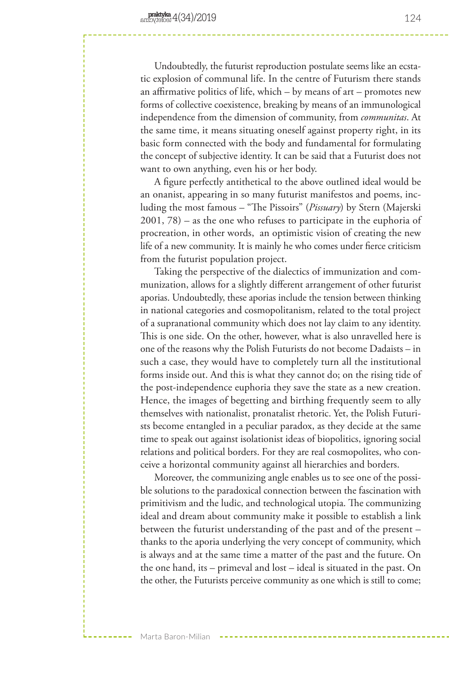Undoubtedly, the futurist reproduction postulate seems like an ecstatic explosion of communal life. In the centre of Futurism there stands an affirmative politics of life, which – by means of art – promotes new forms of collective coexistence, breaking by means of an immunological independence from the dimension of community, from *communitas*. At the same time, it means situating oneself against property right, in its basic form connected with the body and fundamental for formulating the concept of subjective identity. It can be said that a Futurist does not want to own anything, even his or her body.

A figure perfectly antithetical to the above outlined ideal would be an onanist, appearing in so many futurist manifestos and poems, including the most famous – "The Pissoirs" (*Pissuary*) by Stern (Majerski 2001, 78) – as the one who refuses to participate in the euphoria of procreation, in other words, an optimistic vision of creating the new life of a new community. It is mainly he who comes under fierce criticism from the futurist population project.

Taking the perspective of the dialectics of immunization and communization, allows for a slightly different arrangement of other futurist aporias. Undoubtedly, these aporias include the tension between thinking in national categories and cosmopolitanism, related to the total project of a supranational community which does not lay claim to any identity. This is one side. On the other, however, what is also unravelled here is one of the reasons why the Polish Futurists do not become Dadaists – in such a case, they would have to completely turn all the institutional forms inside out. And this is what they cannot do; on the rising tide of the post-independence euphoria they save the state as a new creation. Hence, the images of begetting and birthing frequently seem to ally themselves with nationalist, pronatalist rhetoric. Yet, the Polish Futurists become entangled in a peculiar paradox, as they decide at the same time to speak out against isolationist ideas of biopolitics, ignoring social relations and political borders. For they are real cosmopolites, who conceive a horizontal community against all hierarchies and borders.

Moreover, the communizing angle enables us to see one of the possible solutions to the paradoxical connection between the fascination with primitivism and the ludic, and technological utopia. The communizing ideal and dream about community make it possible to establish a link between the futurist understanding of the past and of the present – thanks to the aporia underlying the very concept of community, which is always and at the same time a matter of the past and the future. On the one hand, its – primeval and lost – ideal is situated in the past. On the other, the Futurists perceive community as one which is still to come;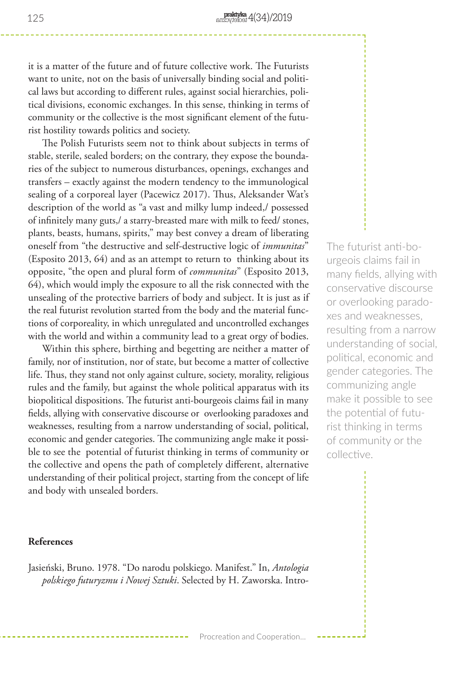it is a matter of the future and of future collective work. The Futurists want to unite, not on the basis of universally binding social and political laws but according to different rules, against social hierarchies, political divisions, economic exchanges. In this sense, thinking in terms of community or the collective is the most significant element of the futurist hostility towards politics and society.

The Polish Futurists seem not to think about subjects in terms of stable, sterile, sealed borders; on the contrary, they expose the boundaries of the subject to numerous disturbances, openings, exchanges and transfers – exactly against the modern tendency to the immunological sealing of a corporeal layer (Pacewicz 2017). Thus, Aleksander Wat's description of the world as "a vast and milky lump indeed,/ possessed of infinitely many guts,/ a starry-breasted mare with milk to feed/ stones, plants, beasts, humans, spirits," may best convey a dream of liberating oneself from "the destructive and self-destructive logic of *immunitas*" (Esposito 2013, 64) and as an attempt to return to thinking about its opposite, "the open and plural form of *communitas*" (Esposito 2013, 64), which would imply the exposure to all the risk connected with the unsealing of the protective barriers of body and subject. It is just as if the real futurist revolution started from the body and the material functions of corporeality, in which unregulated and uncontrolled exchanges with the world and within a community lead to a great orgy of bodies.

Within this sphere, birthing and begetting are neither a matter of family, nor of institution, nor of state, but become a matter of collective life. Thus, they stand not only against culture, society, morality, religious rules and the family, but against the whole political apparatus with its biopolitical dispositions. The futurist anti-bourgeois claims fail in many fields, allying with conservative discourse or overlooking paradoxes and weaknesses, resulting from a narrow understanding of social, political, economic and gender categories. The communizing angle make it possible to see the potential of futurist thinking in terms of community or the collective and opens the path of completely different, alternative understanding of their political project, starting from the concept of life and body with unsealed borders.

### **References**

Jasieński, Bruno. 1978. "Do narodu polskiego. Manifest." In, *Antologia polskiego futuryzmu i Nowej Sztuki*. Selected by H. Zaworska. Intro-

The futurist anti-bourgeois claims fail in many fields, allying with conservative discourse or overlooking paradoxes and weaknesses, resulting from a narrow understanding of social, political, economic and gender categories. The communizing angle make it possible to see the potential of futurist thinking in terms of community or the collective.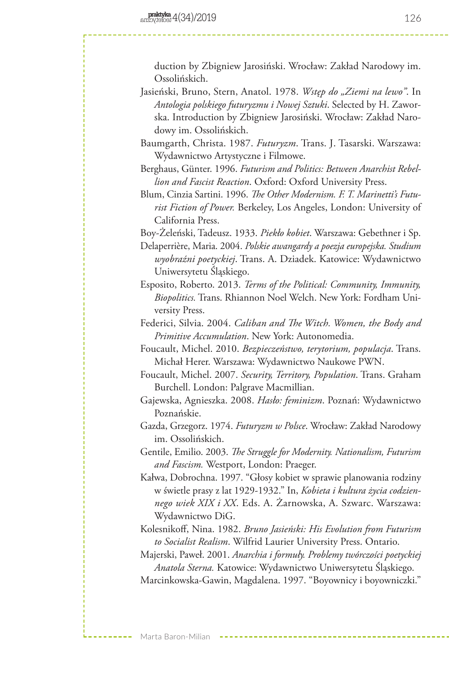duction by Zbigniew Jarosiński. Wrocław: Zakład Narodowy im. Ossolińskich.

- Jasieński, Bruno, Stern, Anatol. 1978. *Wstęp do "Ziemi na lewo"*. In *Antologia polskiego futuryzmu i Nowej Sztuki*. Selected by H. Zaworska. Introduction by Zbigniew Jarosiński. Wrocław: Zakład Narodowy im. Ossolińskich.
- Baumgarth, Christa. 1987. *Futuryzm*. Trans. J. Tasarski. Warszawa: Wydawnictwo Artystyczne i Filmowe.
- Berghaus, Günter. 1996. *Futurism and Politics: Between Anarchist Rebellion and Fascist Reaction*. Oxford: Oxford University Press.
- Blum, Cinzia Sartini. 1996. *The Other Modernism. F. T. Marinetti's Futurist Fiction of Power.* Berkeley, Los Angeles, London: University of California Press.

Boy-Żeleński, Tadeusz. 1933. *Piekło kobiet*. Warszawa: Gebethner i Sp.

Delaperrière, Maria. 2004. *Polskie awangardy a poezja europejska. Studium wyobraźni poetyckiej*. Trans. A. Dziadek. Katowice: Wydawnictwo Uniwersytetu Śląskiego.

- Esposito, Roberto. 2013. *Terms of the Political: Community, Immunity, Biopolitics.* Trans. Rhiannon Noel Welch. New York: Fordham University Press.
- Federici, Silvia. 2004. *Caliban and The Witch. Women, the Body and Primitive Accumulation*. New York: Autonomedia.
- Foucault, Michel. 2010. *Bezpieczeństwo, terytorium, populacja*. Trans. Michał Herer. Warszawa: Wydawnictwo Naukowe PWN.
- Foucault, Michel. 2007. *Security, Territory, Population*. Trans. Graham Burchell. London: Palgrave Macmillian.
- Gajewska, Agnieszka. 2008. *Hasło: feminizm*. Poznań: Wydawnictwo Poznańskie.
- Gazda, Grzegorz. 1974. *Futuryzm w Polsce*. Wrocław: Zakład Narodowy im. Ossolińskich.
- Gentile, Emilio. 2003. *The Struggle for Modernity. Nationalism, Futurism and Fascism.* Westport, London: Praeger.
- Kałwa, Dobrochna. 1997. "Głosy kobiet w sprawie planowania rodziny w świetle prasy z lat 1929-1932." In, *Kobieta i kultura życia codziennego wiek XIX i XX*. Eds. A. Żarnowska, A. Szwarc. Warszawa: Wydawnictwo DiG.
- Kolesnikoff, Nina. 1982. *Bruno Jasieński: His Evolution from Futurism to Socialist Realism*. Wilfrid Laurier University Press. Ontario.

Majerski, Paweł. 2001. *Anarchia i formuły. Problemy twórczości poetyckiej Anatola Sterna.* Katowice: Wydawnictwo Uniwersytetu Śląskiego. Marcinkowska-Gawin, Magdalena. 1997. "Boyownicy i boyowniczki."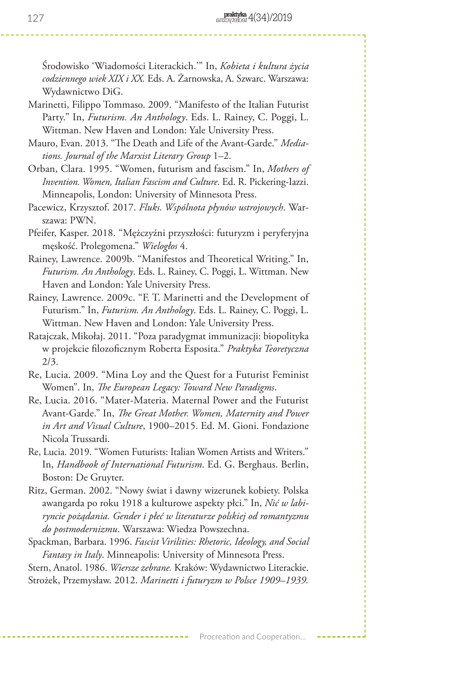Środowisko 'Wiadomości Literackich.'" In, *Kobieta i kultura życia codziennego wiek XIX i XX.* Eds. A. Żarnowska, A. Szwarc. Warszawa: Wydawnictwo DiG.

Marinetti, Filippo Tommaso. 2009. "Manifesto of the Italian Futurist Party." In, *Futurism. An Anthology*. Eds. L. Rainey, C. Poggi, L. Wittman. New Haven and London: Yale University Press.

Mauro, Evan. 2013. "The Death and Life of the Avant-Garde." *Mediations. Journal of the Marxist Literary Group* 1–2.

Orban, Clara. 1995. "Women, futurism and fascism." In, *Mothers of Invention. Women, Italian Fascism and Culture*. Ed. R. Pickering-Iazzi. Minneapolis, London: University of Minnesota Press.

Pacewicz, Krzysztof. 2017. *Fluks. Wspólnota płynów ustrojowych*. Warszawa: PWN.

Pfeifer, Kasper. 2018. "Mężczyźni przyszłości: futuryzm i peryferyjna męskość. Prolegomena." *Wielogłos* 4.

Rainey, Lawrence. 2009b. "Manifestos and Theoretical Writing." In, *Futurism. An Anthology*. Eds. L. Rainey, C. Poggi, L. Wittman. New Haven and London: Yale University Press.

Rainey, Lawrence. 2009c. "F. T. Marinetti and the Development of Futurism." In, *Futurism. An Anthology*. Eds. L. Rainey, C. Poggi, L. Wittman. New Haven and London: Yale University Press.

Ratajczak, Mikołaj. 2011. "Poza paradygmat immunizacji: biopolityka w projekcie filozoficznym Roberta Esposita." *Praktyka Teoretyczna*  2/3.

Re, Lucia. 2009. "Mina Loy and the Quest for a Futurist Feminist Women". In, *The European Legacy: Toward New Paradigms*.

Re, Lucia. 2016. "Mater-Materia. Maternal Power and the Futurist Avant-Garde." In, *The Great Mother. Women, Maternity and Power in Art and Visual Culture*, 1900–2015. Ed. M. Gioni. Fondazione Nicola Trussardi.

Re, Lucia. 2019. "Women Futurists: Italian Women Artists and Writers." In, *Handbook of International Futurism*. Ed. G. Berghaus. Berlin, Boston: De Gruyter.

Ritz, German. 2002. "Nowy świat i dawny wizerunek kobiety. Polska awangarda po roku 1918 a kulturowe aspekty płci." In, *Nić w labiryncie pożądania. Gender i płeć w literaturze polskiej od romantyzmu do postmodernizmu*. Warszawa: Wiedza Powszechna.

Spackman, Barbara. 1996. *Fascist Virilities: Rhetoric, Ideology, and Social Fantasy in Italy*. Minneapolis: University of Minnesota Press.

Stern, Anatol. 1986. *Wiersze zebrane.* Kraków: Wydawnictwo Literackie. Strożek, Przemysław. 2012. *Marinetti i futuryzm w Polsce 1909–1939.*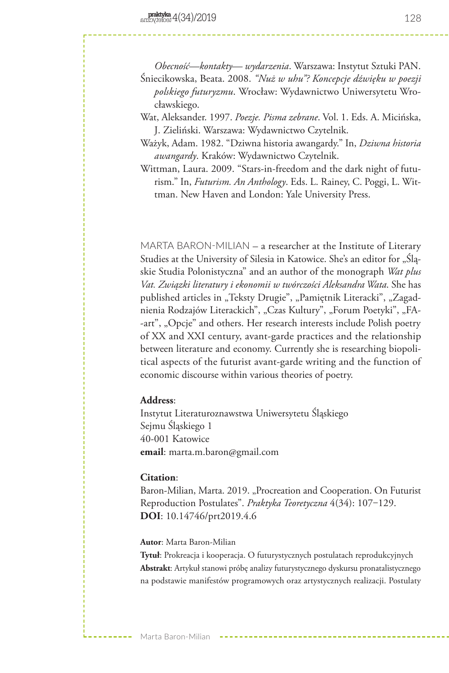*Obecność—kontakty— wydarzenia*. Warszawa: Instytut Sztuki PAN.

- Śniecikowska, Beata. 2008. *"Nuż w uhu"? Koncepcje dźwięku w poezji polskiego futuryzmu*. Wrocław: Wydawnictwo Uniwersytetu Wrocławskiego.
- Wat, Aleksander. 1997. *Poezje. Pisma zebrane*. Vol. 1. Eds. A. Micińska, J. Zieliński. Warszawa: Wydawnictwo Czytelnik.
- Ważyk, Adam. 1982. "Dziwna historia awangardy." In, *Dziwna historia awangardy*. Kraków: Wydawnictwo Czytelnik.
- Wittman, Laura. 2009. "Stars-in-freedom and the dark night of futurism." In, *Futurism. An Anthology*. Eds. L. Rainey, C. Poggi, L. Wittman. New Haven and London: Yale University Press.

MARTA BARON-MILIAN – a researcher at the Institute of Literary Studies at the University of Silesia in Katowice. She's an editor for "Śląskie Studia Polonistyczna" and an author of the monograph *Wat plus Vat. Związki literatury i ekonomii w twórczości Aleksandra Wata*. She has published articles in "Teksty Drugie", "Pamiętnik Literacki", "Zagadnienia Rodzajów Literackich", "Czas Kultury", "Forum Poetyki", "FA--art", "Opcje" and others. Her research interests include Polish poetry of XX and XXI century, avant-garde practices and the relationship between literature and economy. Currently she is researching biopolitical aspects of the futurist avant-garde writing and the function of economic discourse within various theories of poetry.

# **Address**:

Instytut Literaturoznawstwa Uniwersytetu Śląskiego Sejmu Śląskiego 1 40-001 Katowice **email**: marta.m.baron@gmail.com

#### **Citation**:

Baron-Milian, Marta. 2019. "Procreation and Cooperation. On Futurist Reproduction Postulates". *Praktyka Teoretyczna* 4(34): 107–129. **DOI**: 10.14746/prt2019.4.6

**Autor**: Marta Baron-Milian

**Tytuł**: Prokreacja i kooperacja. O futurystycznych postulatach reprodukcyjnych **Abstrakt**: Artykuł stanowi próbę analizy futurystycznego dyskursu pronatalistycznego na podstawie manifestów programowych oraz artystycznych realizacji. Postulaty